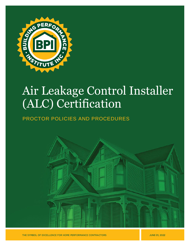

# Air Leakage Control Installer (ALC) Certification

# PROCTOR POLICIES AND PROCEDURES



THE SYMBOL OF EXCELLENCE FOR HOME PERFORMANCE CONTRACTORS

**JUNE 01, 2022**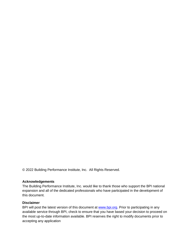© 2022 Building Performance Institute, Inc. All Rights Reserved.

### **Acknowledgements**

The Building Performance Institute, Inc. would like to thank those who support the BPI national expansion and all of the dedicated professionals who have participated in the development of this document.

### **Disclaimer**

BPI will post the latest version of this document at [www.bpi.org.](http://www.bpi.org/pros) Prior to participating in any available service through BPI, check to ensure that you have based your decision to proceed on the most up-to-date information available. BPI reserves the right to modify documents prior to accepting any application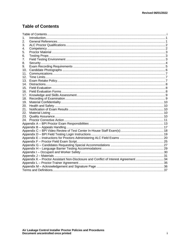# <span id="page-2-0"></span>**Table of Contents**

| 1.                                                                                  |  |  |  |  |
|-------------------------------------------------------------------------------------|--|--|--|--|
| 2.                                                                                  |  |  |  |  |
| 3.                                                                                  |  |  |  |  |
| 4.                                                                                  |  |  |  |  |
| 5.                                                                                  |  |  |  |  |
| 6.                                                                                  |  |  |  |  |
| 7.                                                                                  |  |  |  |  |
| 8.                                                                                  |  |  |  |  |
| 9.                                                                                  |  |  |  |  |
| 10.                                                                                 |  |  |  |  |
| 11.                                                                                 |  |  |  |  |
| 12.                                                                                 |  |  |  |  |
| 13.                                                                                 |  |  |  |  |
| 14.                                                                                 |  |  |  |  |
| 15.                                                                                 |  |  |  |  |
| 16.                                                                                 |  |  |  |  |
| 17.                                                                                 |  |  |  |  |
| 18.                                                                                 |  |  |  |  |
| 19.                                                                                 |  |  |  |  |
| 20.                                                                                 |  |  |  |  |
| 21.                                                                                 |  |  |  |  |
| 22.                                                                                 |  |  |  |  |
| 23.                                                                                 |  |  |  |  |
| 24.                                                                                 |  |  |  |  |
|                                                                                     |  |  |  |  |
|                                                                                     |  |  |  |  |
|                                                                                     |  |  |  |  |
|                                                                                     |  |  |  |  |
|                                                                                     |  |  |  |  |
|                                                                                     |  |  |  |  |
|                                                                                     |  |  |  |  |
|                                                                                     |  |  |  |  |
|                                                                                     |  |  |  |  |
|                                                                                     |  |  |  |  |
| Appendix K - Proctor Assistant Non-Disclosure and Conflict of Interest Agreement 34 |  |  |  |  |
|                                                                                     |  |  |  |  |
|                                                                                     |  |  |  |  |
|                                                                                     |  |  |  |  |
|                                                                                     |  |  |  |  |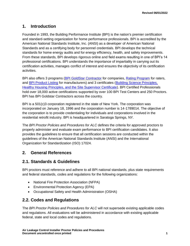# <span id="page-3-0"></span>**1. Introduction**

Founded in 1993, the Building Performance Institute (BPI) is the nation's premier certification and standard-setting organization for home performance professionals. BPI is accredited by the American National Standards Institute, Inc. (ANSI) as a developer of American National Standards and as a certifying body for personnel credentials. BPI develops the technical standards for home energy audits and for energy efficiency, health, and safety improvements. From these standards, BPI develops rigorous online and field exams resulting in one of BPI's 14 professional certifications. BPI understands the importance of impartiality in carrying out its certification activities, manages conflict of interest and ensures the objectivity of its certification activities.

BPI also offers 3 programs [\(BPI GoldStar Contractor](http://www.bpi.org/bpi-goldstar-contractors) for companies, [Rating Program](http://www.bpi.org/bpi-raters) for raters, and [BPI Product Listing](http://www.bpi.org/product-listing) for manufacturers) and 3 certificates [\(Building Science Principles,](http://www.bpi.org/building-science-principles) [Healthy Housing Principles,](https://www.bpi.org/healthy-housing-principles) and the [Site Supervisor Certificate\)](https://www.bpi.org/sitesupervisorcertificate). BPI Certified Professionals hold over 18,000 active certifications supported by over 100 BPI Test Centers and 250 Proctors. BPI has BPI Goldstar Contractors across the country.

BPI is a 501(c)3 corporation registered in the state of New York. The corporation was incorporated on January 18, 1996 and the corporation number is 14-1789014. The objective of the corporation is to provide credentialing for individuals and corporations involved in the residential retrofit industry. BPI is headquartered in Saratoga Springs, NY.

The *BPI Proctor Policies and Procedures for ALC* defines the criteria for approved proctors to properly administer and evaluate exam performance to BPI certification candidates. It also provides the guidelines to ensure that all certification sessions are conducted within the guidelines of the American National Standards Institute (ANSI) and the International Organization for Standardization (ISO) 17024.

# <span id="page-3-1"></span>**2. General References**

# **2.1. Standards & Guidelines**

BPI proctors must reference and adhere to all BPI national standards, plus state requirements and federal standards, codes and regulations for the following organizations:

- National Fire Protection Association (NFPA)
- Environmental Protection Agency (EPA)
- Occupational Safety and Health Administration (OSHA)

# **2.2. Codes and Regulations**

The *BPI Proctor Policies and Procedures for ALC* will not supersede existing applicable codes and regulations. All evaluations will be administered in accordance with existing applicable federal, state and local codes and regulations.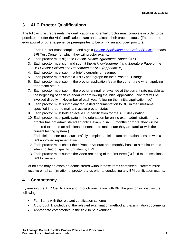# <span id="page-4-0"></span>**3. ALC Proctor Qualifications**

The following list represents the qualifications a potential proctor must complete in order to be permitted to offer the ALC certification exam and maintain their proctor status. (There are no educational or other experience prerequisites to becoming an approved proctor).

- 1. Each Proctor must complete and sign a *[Proctor Application and Code of Ethics](http://www.bpi.org/bpi-test-centers/how-to-apply)* for each BPI Test Center for which they will proctor exams.
- 2. Each proctor must sign the *Proctor-Trainer Agreement (Appendix L).*
- 3. Each proctor must sign and submit the *Acknowledgement and Signature Page* of the *BPI Proctor Policies and Procedures for ALC (Appendix M).*
- 4. Each proctor must submit a brief biography or resume.
- 5. Each proctor must submit a JPEG photograph for their Proctor ID Badge.
- 6. Each proctor must submit the proctor application fee at the current rate when applying for proctor status.
- 7. Each proctor must submit the proctor annual renewal fee at the current rate payable at the beginning of each calendar year following the initial application (Proctors will be invoiced directly in November of each year following their initial application fee).
- 8. Each proctor must submit any requested documentation to BPI in the timeframe specified in order to maintain active proctor status.
- 9. Each proctor must hold an active BPI certification for the ALC designation.
- 10. Each proctor must participate in the orientation for online exam administration. (If a proctor has not administered an online exam in six (6) months or more, they will be required to attend an additional orientation to make sure they are familiar with the current testing system.)
- 11. Each field proctor must successfully complete a field exam orientation session with a BPI approved representative.
- 12. Each proctor must check their Proctor Account on a monthly basis at a minimum and when notified of specific updates by BPI.
- 13. Each proctor must submit the video recording of the first three (3) field exam sessions to BPI for review.

At no time may an exam be administered without these items completed. Proctors must receive email confirmation of proctor status prior to conducting any BPI certification exams.

# <span id="page-4-1"></span>**4. Competency**

By earning the ALC Certification and through orientation with BPI the proctor will display the following:

- Familiarity with the relevant certification scheme
- A thorough knowledge of the relevant examination method and examination documents
- Appropriate competence in the field to be examined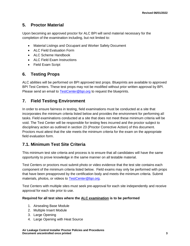# <span id="page-5-0"></span>**5. Proctor Material**

Upon becoming an approved proctor for ALC BPI will send material necessary for the completion of the examination including, but not limited to:

- Material Listings and Occupant and Worker Safety Document
- ALC Field Evaluation Form
- ALC Scheme Handbook
- ALC Field Exam Instructions
- Field Exam Script

# <span id="page-5-1"></span>**6. Testing Props**

ALC abilities will be performed on BPI approved test props. Blueprints are available to approved BPI Test Centers. These test props may not be modified without prior written approval by BPI. Please send an email to [TestCenter@bpi.org](mailto:TestCenter@bpi.org) to request the blueprints.

# <span id="page-5-2"></span>**7. Field Testing Environment**

In order to ensure fairness in testing, field examinations must be conducted at a site that incorporates the minimum criteria listed below and provides the environment for performing all tasks. Field examinations conducted at a site that does not meet these minimum criteria will be void. The Test Center will be responsible for testing fees incurred and the proctor subject to disciplinary action as outlined in section 23 (Proctor Corrective Action) of this document. Proctors must attest that the site meets the minimum criteria for the exam on the appropriate field evaluation form.

# **7.1. Minimum Test Site Criteria**

This minimum test site criteria and process is to ensure that all candidates will have the same opportunity to prove knowledge in the same manner on all testable material.

Test Centers or proctors must submit photo or video evidence that the test site contains each component of the minimum criteria listed below. Field exams may only be performed with props that have been preapproved by the certification body and meets the minimum criteria. Submit materials, photos, or videos to [TestCenter@bpi.org.](mailto:TestCenter@bpi.org)

Test Centers with multiple sites must seek pre-approval for each site independently and receive approval for each site prior to use.

### **Required for all test sites where the ALC examination is to be performed**

- 1. Airsealing Base Module
- 2. Multiple Insert Module
- 3. Large Opening
- 4. Large Opening with Heat Source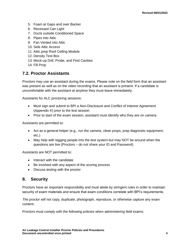- 5. Foam at Gaps and over Backer
- 6. Recessed Can Light
- 7. Ducts outside Conditioned Space
- 8. Pipes into Attic
- 9. Fan Vented into Attic
- 10. Side Attic Access
- 11. Attic prep Roof Ceiling Module
- 12. Density Test Box
- 13. Mock-up Drill, Probe, and Find Cavities
- 14. Fill Prop

# **7.2. Proctor Assistants**

Proctors may use an assistant during the exams. Please note on the field form that an assistant was present as well as on the video recording that an assistant is present. If a candidate is uncomfortable with the assistant at anytime they must leave immediately.

Assistants for ALC proctoring sessions:

- Must sign and submit to BPI a Non-Disclosure and Conflict of Interest Agreement (*Appendix K*) prior to the test session
- Prior to start of the exam session, assistant must identify who they are on camera

Assistants are permitted to:

- Act as a general helper (e.g., run the camera, clean props, prep diagnostic equipment, etc.)
- May help with logging people into the test system but may NOT be around when the questions are live (Proctors – do not share your ID and Password)

Assistants are NOT permitted to:

- Interact with the candidate
- Be involved with any aspect of the scoring process
- Discuss testing with the proctor

# <span id="page-6-0"></span>**8. Security**

Proctors have an important responsibility and must abide by stringent rules in order to maintain security of exam materials and ensure that exam conditions correlate with BPI's requirements.

*The proctor will not* copy, duplicate, photograph, reproduce, or otherwise capture any exam content.

Proctors must comply with the following policies when administering field exams: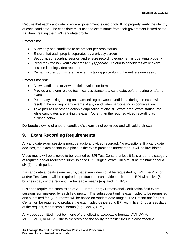Require that each candidate provide a government issued photo ID to properly verify the identity of each candidate. The candidate must use the exact name from their government issued photo ID when creating their BPI candidate profile.

Proctors *will*:

- Allow only one candidate to be present per prop station
- Ensure that each prop is separated by a privacy screen
- Set up video recording session and ensure recording equipment is operating properly
- Read the *Proctor Exam Script for ALC (Appendix F)* aloud to candidates while exam session is being video recorded
- Remain in the room where the exam is taking place during the entire exam session

Proctors *will not*:

- Allow candidates to view the field evaluation forms
- Provide any exam related technical assistance to a candidate, before, during or after an exam
- Permit any talking during an exam; talking between candidates during the exam will result in the voiding of any exams of any candidates participating in conversation
- Take pictures or other electronic duplication of any BPI exam prop, exam station, etc. while candidates are taking the exam (other than the required video recording as outlined below)

Deliberate viewing of another candidate's exam is not permitted and will void their exam.

# <span id="page-7-0"></span>**9. Exam Recording Requirements**

All candidate exam sessions must be audio and video recorded. No exceptions. If a candidate declines, the exam cannot take place. If the exam proceeds unrecorded, it will be invalidated.

Video media will be allowed to be retained by BPI Test Centers unless it falls under the category of required and/or requested submission to BPI. Original exam video must be maintained for a six (6) month period.

If a candidate appeals exam results, that exam video could be requested by BPI. The Proctor and/or Test Center will be required to produce the exam video delivered to BPI within five (5) business days of the request, via traceable means (e.g. FedEx, UPS).

BPI does require the submission of ALL Home Energy Professional Certification field exam sessions administered by each field proctor. The subsequent online exam video to be requested and submitted for QA purposes will be based on random date ranges. The Proctor and/or Test Center will be required to produce the exam video delivered to BPI within five (5) business days of the request, via traceable means (e.g. FedEx, UPS).

All videos submitted must be in one of the following acceptable formats: AVI, WMV, MPEG/MPG, or MOV. Due to file sizes and the ability to transfer files in a cost effective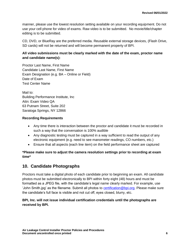manner, please use the lowest resolution setting available on your recording equipment. Do not use your cell phone for video of exams. Raw video is to be submitted. No movie/title/chapter editing is to be submitted.

CD, DVD, or BlueRay are the preferred media. Reusable external storage devices, (Flash Drive, SD cards) will not be returned and will become permanent property of BPI.

### **All video submissions must be clearly marked with the date of the exam, proctor name and candidate name(s):**

Proctor Last Name, First Name Candidate Last Name, First Name Exam Designation (e.g. BA – Online or Field) Date of Exam Test Center Name

Mail to: Building Performance Institute, Inc Attn: Exam Video QA 63 Putnam Street, Suite 202 Saratoga Springs, NY 12866

### **Recording Requirements**

- Any time there is interaction between the proctor and candidate it must be recorded in such a way that the conversation is 100% audible
- Any diagnostic testing must be captured in a way sufficient to read the output of any electronic equipment (e.g. need to see manometer readings, CO numbers, etc.)
- Ensure that all aspects (each line item) on the field performance sheet are captured

**\*Please make sure to adjust the camera resolution settings prior to recording at exam time\***

# <span id="page-8-0"></span>**10. Candidate Photographs**

Proctors must take a digital photo of each candidate prior to beginning an exam. All candidate photos must be submitted electronically to BPI within forty eight (48) hours and must be formatted as a JPEG file, with the candidate's legal name clearly marked. For example, use 'John Smith.jpg' as the filename. Submit all photos to **certification@bpi.org**. Please make sure the candidate's full face is visible and not cut off, eyes closed, blurry, etc.

### **BPI, Inc. will not issue individual certification credentials until the photographs are received by BPI.**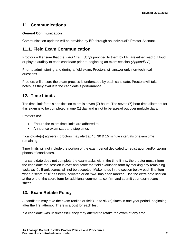# <span id="page-9-0"></span>**11. Communications**

### **General Communication**

Communication updates will be provided by BPI through an individual's Proctor Account.

# **11.1. Field Exam Communication**

Proctors will ensure that the *Field Exam Script* provided to them by BPI are either read out loud or played audibly to each candidate prior to beginning an exam session *(Appendix F)*

Prior to administering and during a field exam, Proctors will answer only non-technical questions.

Proctors will ensure the exam process is understood by each candidate. Proctors will take notes, as they evaluate the candidate's performance.

# <span id="page-9-1"></span>**12. Time Limits**

The time limit for this certification exam is seven (7) hours. The seven (7) hour time allotment for this exam is to be completed in one (1) day and is not to be spread out over multiple days.

Proctors *will*:

- Ensure the exam time limits are adhered to
- Announce exam start and stop times

If candidate(s) agree(s), proctors may alert at 45, 30 & 15 minute intervals of exam time remaining.

Time limits will not include the portion of the exam period dedicated to registration and/or taking photos of candidates.

If a candidate does not complete the exam tasks within the time limits, the proctor must inform the candidate the session is over and score the field evaluation form by marking any remaining tasks as '0'. Blank scores will not be accepted. Make notes in the section below each line item when a score of '0' has been indicated or an 'N/A' has been marked. Use the extra note section at the end of the score form for additional comments; confirm and submit your exam score sheet.

# <span id="page-9-2"></span>**13. Exam Retake Policy**

A candidate may take the exam (online or field) up to six (6) times in one year period, beginning after the first attempt. There is a cost for each test.

If a candidate was unsuccessful, they may attempt to retake the exam at any time.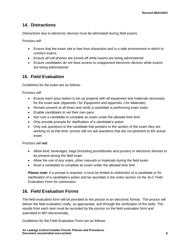# <span id="page-10-0"></span>**14. Distractions**

Distractions due to electronic devices must be eliminated during field exams.

Proctors *will*:

- Ensure that the exam site is free from distraction and is a safe environment in which to conduct exams.
- Ensure all cell phones are turned off while exams are being administered
- Ensure candidates do not have access to unapproved electronic devices while exams are being administered

# <span id="page-10-1"></span>**15. Field Evaluation**

Guidelines for the exam are as follows:

Proctors *will*:

- Ensure each prop station is set up properly with all equipment and materials necessary for the exam task *(Appendix I for Equipment and Appendix J for Materials)*
- Remain present at all times and verify a candidate is performing exam tasks
- Enable candidates to set their own pace
- Not rush a candidate to complete an exam under the allowed time limit
- Only provide prompts for clarification of a candidate's action
- Only ask questions to the candidate that pertains to the section of the exam they are working on at that time; proctor will not ask questions that are not pertinent to the actual exam

Proctors *will not*:

- Allow food, beverages, bags (including pocketbooks and purses) or electronic devices to be present during the field exam
- Allow the use of any notes, other manuals or materials during the field exam
- Rush a candidate to complete an exam under the allowed time limit

**Please note:** If a prompt is required, it must be limited to redirection of a candidate or for clarification of a candidate's action and be recorded in the notes section on the ALC Field Evaluation Form for submission.

# <span id="page-10-2"></span>**16. Field Evaluation Forms**

The field evaluation form will be provided to the proctor in an electronic format. The proctor will deliver the field evaluation orally, as appropriate, and through the verification of the skills. The results from each task must be recorded by the proctor on the field evaluation form and submitted to BPI electronically.

Guidelines for the Field Evaluation Form are as follows: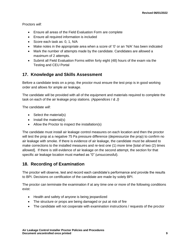Proctors *will*:

- Ensure all areas of the Field Evaluation Form are complete
- Ensure all required information is included
- Score each task as: 0, 1, N/A
- Make notes in the appropriate area when a score of '0' or an 'N/A' has been indicated
- Mark the number of attempts made by the candidate. Candidates are allowed a maximum of 2 attempts.
- Submit all Field Evaluation Forms within forty eight (48) hours of the exam via the Testing and CEU Portal

# <span id="page-11-0"></span>**17. Knowledge and Skills Assessment**

Before a candidate tests on a prop, the proctor must ensure the test prop is in good working order and allows for ample air leakage.

The candidate will be provided with all of the equipment and materials required to complete the task on each of the air leakage prop stations. *(Appendices I & J)*

The candidate *will*:

- Select the material(s)
- Install the material(s)
- Allow the Proctor to inspect the installation(s)

The candidate must install air leakage control measures on each location and then the proctor will test the prop at a negative 75 Pa pressure difference (depressurize the prop) to confirm no air leakage with smoke. If there is evidence of air leakage, the candidate must be allowed to make corrections to the installed measures and re-test one (1) more time [total of two (2) times allowed]. If there is still evidence of air leakage on the second attempt, the section for that specific air leakage location must marked as "0" (unsuccessful).

# <span id="page-11-1"></span>**18. Recording of Examination**

The proctor will observe, test and record each candidate's performance and provide the results to BPI. Decisions on certification of the candidate are made by solely BPI.

The proctor can terminate the examination if at any time one or more of the following conditions exist:

- Health and safety of anyone is being jeopardized
- The structure or props are being damaged or put at risk of fire
- The candidate will not cooperate with examination instructions / requests of the proctor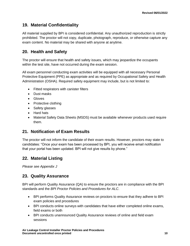# <span id="page-12-0"></span>**19. Material Confidentiality**

All material supplied by BPI is considered confidential. Any unauthorized reproduction is strictly prohibited. The proctor will not copy, duplicate, photograph, reproduce, or otherwise capture any exam content. No material may be shared with anyone at anytime.

# <span id="page-12-1"></span>**20. Health and Safety**

The proctor will ensure that health and safety issues, which may jeopardize the occupants within the test site, have not occurred during the exam session.

All exam personnel conducting exam activities will be equipped with all necessary Personal Protective Equipment (PPE) as appropriate and as required by Occupational Safety and Health Administration (OSHA). Required safety equipment may include, but is not limited to:

- Fitted respirators with canister filters
- Dust masks
- Gloves
- Protective clothing
- Safety glasses
- Hard hats
- Material Safety Data Sheets (MSDS) must be available whenever products used require them.

# <span id="page-12-2"></span>**21. Notification of Exam Results**

The proctor will not inform the candidate of their exam results. However, proctors may state to candidates: "Once your exam has been processed by BPI, you will receive email notification that your portal has been updated. BPI will not give results by phone."

# <span id="page-12-3"></span>**22. Material Listing**

*Please see Appendix J*

# <span id="page-12-4"></span>**23. Quality Assurance**

BPI will perform Quality Assurance (QA) to ensure the proctors are in compliance with the BPI standards and the *BPI Proctor Policies and Procedures for ALC*.

- BPI performs Quality Assurance reviews on proctors to ensure that they adhere to BPI exam policies and procedures
- BPI conducts online surveys with candidates that have either completed online exams, field exams or both
- BPI conducts unannounced Quality Assurance reviews of online and field exam sessions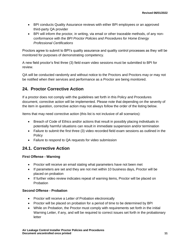- BPI conducts Quality Assurance reviews with either BPI employees or an approved third-party QA provider
- BPI will inform the proctor*,* in writing, via email or other traceable methods, of any nonconformance with the *BPI Proctor Policies and Procedures for Home Energy Professional Certifications*

Proctors agree to submit to BPI's quality assurance and quality control processes as they will be monitored for purposes of demonstrating competency.

A new field proctor's first three (3) field exam video sessions must be submitted to BPI for review.

QA will be conducted randomly and without notice to the Proctors and Proctors may or may not be notified when their services and performance as a Proctor are being monitored.

# <span id="page-13-0"></span>**24. Proctor Corrective Action**

If a proctor does not comply with the guidelines set forth in this Policy and Procedures document, corrective action will be implemented. Please note that depending on the severity of the item in question, corrective action may not always follow the order of the listing below.

Items that may need corrective action (this list is not inclusive of all scenarios):

- Breach of Code of Ethics and/or actions that result in possibly placing individuals in potentially harmful situations can result in immediate suspension and/or termination
- Failure to submit the first three (3) video recorded field exam sessions as outlined in the **Policy**
- Failure to respond to QA requests for video submission

# **24.1. Corrective Action**

### **First Offense - Warning**

- Proctor will receive an email stating what parameters have not been met
- If parameters are set and they are not met within 10 business days, Proctor will be placed on probation
- If further video review indicates repeat of warning items, Proctor will be placed on Probation

### **Second Offense - Probation**

- Proctor will receive a Letter of Probation electronically
- Proctor will be placed on probation for a period of time to be determined by BPI
- While on Probation, the Proctor must comply with requirements set forth in the initial Warning Letter, if any, and will be required to correct issues set forth in the probationary letter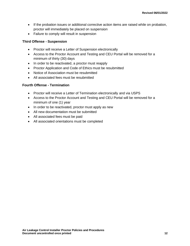- If the probation issues or additional corrective action items are raised while on probation, proctor will immediately be placed on suspension
- Failure to comply will result in suspension

### **Third Offense - Suspension**

- Proctor will receive a Letter of Suspension electronically
- Access to the Proctor Account and Testing and CEU Portal will be removed for a minimum of thirty (30) days
- In order to be reactivated, a proctor must reapply
- Proctor Application and Code of Ethics must be resubmitted
- Notice of Association must be resubmitted
- All associated fees must be resubmitted

#### **Fourth Offense - Termination**

- Proctor will receive a Letter of Termination electronically and via USPS
- Access to the Proctor Account and Testing and CEU Portal will be removed for a minimum of one (1) year
- In order to be reactivated, proctor must apply as new
- All new documentation must be submitted
- All associated fees must be paid
- All associated orientations must be completed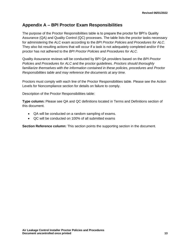# <span id="page-15-0"></span>**Appendix A – BPI Proctor Exam Responsibilities**

The purpose of the Proctor Responsibilities table is to prepare the proctor for BPI's Quality Assurance (QA) and Quality Control (QC) processes. The table lists the proctor tasks necessary for administering the ALC exam according to the *BPI Proctor Policies and Procedures for ALC*. They also list resulting actions that will occur if a task is not adequately completed and/or if the proctor has not adhered to the *BPI Proctor Policies and Procedures for ALC*.

Quality Assurance reviews will be conducted by BPI QA providers based on the *BPI Proctor Policies and Procedures for ALC* and the proctor guidelines. *Proctors should thoroughly familiarize themselves with the information contained in these policies, procedures and Proctor Responsibilities table and may reference the documents at any time.*

Proctors must comply with each line of the Proctor Responsibilities table. Please see the Action Levels for Noncompliance section for details on failure to comply.

Description of the Proctor Responsibilities table:

**Type column:** Please see QA and QC definitions located in Terms and Definitions section of this document.

- QA will be conducted on a random sampling of exams.
- QC will be conducted on 100% of all submitted exams

**Section Reference column:** This section points the supporting section in the document.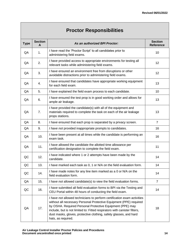# **Proctor Responsibilities**

| <b>Type</b> | <b>Section</b><br>A | As an authorized BPI Proctor:                                                                                                                                                                                                                                                                                                                                                      | <b>Section</b><br><b>Reference</b> |
|-------------|---------------------|------------------------------------------------------------------------------------------------------------------------------------------------------------------------------------------------------------------------------------------------------------------------------------------------------------------------------------------------------------------------------------|------------------------------------|
| QA          | 1.                  | I have read the 'Proctor Script' to all candidates prior to<br>administering field exams.                                                                                                                                                                                                                                                                                          | 10                                 |
| QA          | 2.                  | I have provided access to appropriate environments for testing all<br>relevant tasks while administering field exams.                                                                                                                                                                                                                                                              | 12                                 |
| QA          | 3.                  | I have ensured an environment free from disruptions or other<br>avoidable distractions prior to administering field exams.                                                                                                                                                                                                                                                         | 12                                 |
| QA          | 4.                  | I have ensured that candidates have appropriate working equipment<br>for each field exam.                                                                                                                                                                                                                                                                                          | 13                                 |
| QA          | 5.                  | I have explained the field exam process to each candidate.                                                                                                                                                                                                                                                                                                                         | 10                                 |
| QA          | 6.                  | I have ensured the test prop is in good working order and allows for<br>ample air leakage.                                                                                                                                                                                                                                                                                         | 13                                 |
| QA          | 7.                  | I have provided the candidate(s) with all of the equipment and<br>materials required to complete the task on each of the air leakage<br>props stations.                                                                                                                                                                                                                            | 13                                 |
| QA          | 8.                  | I have ensured that each prop is separated by a privacy screen.                                                                                                                                                                                                                                                                                                                    | $\overline{7}$                     |
| QA          | 9.                  | I have not provided inappropriate prompts to candidates.                                                                                                                                                                                                                                                                                                                           | 16                                 |
| QA          | 10.                 | I have been present at all times while the candidate is performing an<br>exam task.                                                                                                                                                                                                                                                                                                | 16                                 |
| QA          | 11.                 | I have allowed the candidate the allotted time allowance per<br>certification designation to complete the field exam.                                                                                                                                                                                                                                                              | 11                                 |
| QC          | 12.                 | I have indicated where 1 or 2 attempts have been made by the<br>candidate.                                                                                                                                                                                                                                                                                                         | 14                                 |
| QC          | 13.                 | I have marked each task as 0, 1 or N/A on the field evaluation form.                                                                                                                                                                                                                                                                                                               | 14                                 |
| QC          | 14.                 | I have made notes for any line item marked as a 0 or N/A on the<br>field evaluation form.                                                                                                                                                                                                                                                                                          | 14                                 |
| QA          | 15.                 | I have not allowed candidate(s) to view the field evaluation forms.                                                                                                                                                                                                                                                                                                                | $\overline{7}$                     |
| QC          | 16.                 | I have submitted all field evaluation forms to BPI via the Testing and<br>CEU Portal within 48 hours of conducting the field exam.                                                                                                                                                                                                                                                 | 14                                 |
| QA          | 17.                 | I have not allowed technicians to perform certification exam activities<br>without all necessary Personal Protective Equipment (PPE) required<br>by OSHA. Required Personal Protective Equipment (PPE) may<br>include, but is not limited to: Fitted respirators with canister filters,<br>dust masks, gloves, protective clothing, safety glasses, and hard<br>hats, as required. | 18                                 |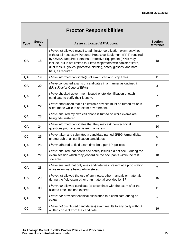# **Proctor Responsibilities**

| <b>Type</b> | <b>Section</b><br>A | As an authorized BPI Proctor:                                                                                                                                                                                                                                                                                                                                                    | <b>Section</b><br><b>Reference</b> |  |
|-------------|---------------------|----------------------------------------------------------------------------------------------------------------------------------------------------------------------------------------------------------------------------------------------------------------------------------------------------------------------------------------------------------------------------------|------------------------------------|--|
| QA          | 18.                 | I have not allowed myself to administer certification exam activities<br>without all necessary Personal Protective Equipment (PPE) required<br>by OSHA. Required Personal Protective Equipment (PPE) may<br>include, but is not limited to: Fitted respirators with canister filters,<br>dust masks, gloves, protective clothing, safety glasses, and hard<br>hats, as required. | 18                                 |  |
| QA          | 19.                 | I have informed candidate(s) of exam start and stop times.                                                                                                                                                                                                                                                                                                                       | 11                                 |  |
| QA          | 20.                 | I have conducted exams of candidates in a manner as outlined in<br><b>BPI's Proctor Code of Ethics.</b>                                                                                                                                                                                                                                                                          | 3                                  |  |
| QA          | 21.                 | I have checked government issued photo identification of each<br>candidate to verify their identity.                                                                                                                                                                                                                                                                             | $\overline{7}$                     |  |
| QA          | 22.                 | I have announced that all electronic devices must be turned off or in<br>silent mode while in an exam environment.                                                                                                                                                                                                                                                               | 12                                 |  |
| QA          | 23.                 | I have ensured my own cell phone is turned off while exams are<br>being administered.                                                                                                                                                                                                                                                                                            | 12                                 |  |
| QA          | 24.                 | I have informed candidates that they may ask non-technical<br>questions prior to administering an exam.                                                                                                                                                                                                                                                                          | 10                                 |  |
| QC          | 25.                 | I have taken and submitted a candidate named JPEG format digital<br>photograph of all certification candidates.                                                                                                                                                                                                                                                                  | 9                                  |  |
| QA          | 26.                 | I have adhered to field exam time limit, per BPI policies.                                                                                                                                                                                                                                                                                                                       | 11                                 |  |
| QA          | 27.                 | I have ensured that health and safety issues did not occur during the<br>exam session which may jeopardize the occupants within the test<br>site area.                                                                                                                                                                                                                           | 18                                 |  |
| QA          | 28.                 | I have ensured that only one candidate was present at a prop station<br>while exam were being administered.                                                                                                                                                                                                                                                                      | $\overline{7}$                     |  |
| QA          | 29.                 | I have not allowed the use of any notes, other manuals or materials<br>during the field exam other than material provided by BPI.                                                                                                                                                                                                                                                | 16                                 |  |
| QA          | 30.                 | I have not allowed candidate(s) to continue with the exam after the<br>allotted time limit had expired.                                                                                                                                                                                                                                                                          | 11                                 |  |
| QA          | 31.                 | I have not provided technical assistance to a candidate during an<br>exam.                                                                                                                                                                                                                                                                                                       | 7                                  |  |
| QC          | 32.                 | I have not distributed candidate(s) exam results to any party without<br>written consent from the candidate.                                                                                                                                                                                                                                                                     | 19                                 |  |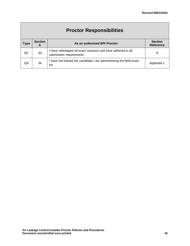| <b>Proctor Responsibilities</b> |                     |                                                                                         |                                    |  |  |
|---------------------------------|---------------------|-----------------------------------------------------------------------------------------|------------------------------------|--|--|
| <b>Type</b>                     | <b>Section</b><br>A | As an authorized BPI Proctor:                                                           | <b>Section</b><br><b>Reference</b> |  |  |
| QC                              | 33.                 | I have videotaped all exam sessions and have adhered to all<br>submission requirements. | 8                                  |  |  |
| QΑ                              | 34.                 | I have not trained the candidate I am administering the field exam<br>for.              | Appendix L                         |  |  |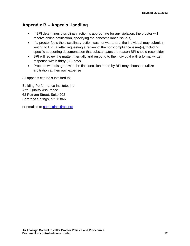# <span id="page-19-0"></span>**Appendix B – Appeals Handling**

- If BPI determines disciplinary action is appropriate for any violation, the proctor will receive online notification, specifying the noncompliance issue(s)
- If a proctor feels the disciplinary action was not warranted, the individual may submit in writing to BPI, a letter requesting a review of the non-compliance issue(s), including specific supporting documentation that substantiates the reason BPI should reconsider
- BPI will review the matter internally and respond to the individual with a formal written response within thirty (30) days
- Proctors who disagree with the final decision made by BPI may choose to utilize arbitration at their own expense

All appeals can be submitted to:

Building Performance Institute, Inc Attn: Quality Assurance 63 Putnam Street, Suite 202 Saratoga Springs, NY 12866

or emailed to [complaints@bpi.org](mailto:complaints@bpi.org)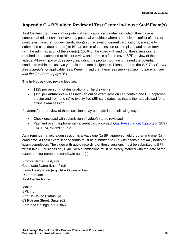# <span id="page-20-0"></span>**Appendix C – BPI Video Review of Test Center In-House Staff Exam(s)**

Test Centers that have staff or potential certification candidates with which they have a contractual relationship, or have any potential candidate where a perceived conflict of interest could exist, whether for new certification(s) or renewal of current certifications, are able to submit the candidate name(s) to BPI as notice of the session to take place, and move forward with the administration of the exam(s). 100% of the video with audio of these sessions is required to be submitted to BPI for review and there is a fee to cover BPI's review of these videos. All exam policy does apply, including the proctor not having trained the potential candidate within the last two years in the exam designation. Please refer to the *BPI Test Center Fee Schedule* for applicable fees. Keep in mind that these fees are *in addition to the exam fee that the Test Center pays BPI.*

The In-House video review fees are:

- \$125 per person (not designation) for **field exam(s)**
- \$125 per **online exam session** (an online exam session can contain one BPI approved proctor and from one (1) to twenty five (25) candidates, as that is the ratio allowed for an online exam session)

Payment for the review of these sessions may be made in the following ways:

- Check enclosed with submission of video(s) to be reviewed
- Payment over the phone with a credit card contact QualityAssurance @bpi.org or  $(877)$ 274-1274, extension 292

As a reminder, a field exam session is always one (1) BPI approved field proctor and one (1) candidate. All field exam scoring forms must be submitted to BPI within forty eight (48) hours of exam completion. The video with audio recording of these sessions must be submitted to BPI within five (5) business days. All video submissions must be clearly marked with the date of the exam, proctor name and candidate name(s):

Proctor Name (Last, First) Candidate Name (Last, First) Exam Designation (e.g. BA – Online or Field) Date of Exam Test Center Name

Mail to: BPI, Inc., Attn: In-House Exams QA 63 Putnam Street, Suite 202 Saratoga Springs, NY 12866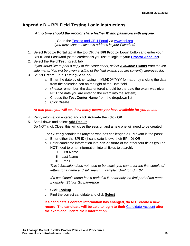# <span id="page-21-0"></span>**Appendix D – BPI Field Testing Login Instructions**

*At no time should the proctor share his/her ID and password with anyone.*

Go to the [Testing and CEU Portal](https://bpi.vgihost.com/site/en/bpi) via [www.bpi.org](http://www.bpi.org/pros) *(you may want to save this address in your Favorites)*

- 1. Select **Proctor Portal** tab at the top OR the **BPI Proctor Login** button and enter your BPI ID and Password (same credentials you use to login to your **[Proctor Account](https://bpiproctor.rsmhosting.com/_layouts/ProctorLogin.aspx?ReturnUrl=%2f_layouts%2fAuthenticate.aspx%3fSource%3d%252F&Source=%2F)**)
- 2. Select the **Field Testing** sub tab *If you would like to print a copy of the score sheet, select Available Exams from the left side menu. You will be given a listing of the field exams you are currently approved for.*
- 3. Select **Create Field Testing Session**
	- a. Enter the date by either typing in MM/DD/YYYY format or by clicking the date from the calendar icon on the right of the Date field
	- b. (Please remember: the date entered should be the date the exam was given, NOT the date you are entering the exam into the system)
	- c. Choose the **Test Center Name** from the dropdown list
	- d. Click **Create**

### *At this point you will see how many exams you have available for you to use*

- 4. Verify information entered and click **Activate** then click **OK**
- 5. Scroll down and select **Add Result**
	- Do NOT click Close; this will close the session and a new one will need to be created

For **existing** candidates (anyone who has challenged a BPI exam in the past):

- a. Enter either the BPI ID (if candidate knows their BPI ID) **OR**
- b. Enter candidate information into *one or more* of the other four fields (you do NOT need to enter information into all fields to search):
	- i. First Name
	- ii. Last Name
	- iii. Email

*This information does not need to be exact, you can enter the first couple of letters for a name and still search. Example: 'Smi' for 'Smith'* 

*If a candidate's name has a period in it, enter only the first part of the name. Example: 'St.' for 'St. Lawrence'*

- c. Click **Lookup**
- d. Find the correct candidate and click **Select**

**If a candidate's contact information has changed, do NOT create a new record! The candidate will be able to login to their** [Candidate Account](https://bpicandidate.rsmhosting.com/_layouts/CandidateLogin.aspx?ReturnUrl=%2f_layouts%2fAuthenticate.aspx%3fSource%3d%252F&Source=%2F) **after the exam and update their information.**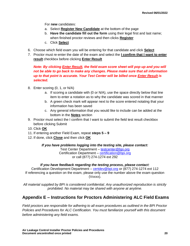For **new** candidates:

- a. Select **Register New Candidate** at the bottom of the page
- b. **Have the candidate fill out the form** using their legal first and last name; when finished proctor reviews and then clicks **Register**
- c. Click **Select**
- 6. Choose which field exam you will be entering for that candidate and click **Select**
- 7. Proctor must re-enter the date of the exam and select the **I confirm that I want to enter result** checkbox before clicking **Enter Result**

### *Note: By clicking Enter Result, the field exam score sheet will pop up and you will not be able to go back to make any changes. Please make sure that all information up to that point is accurate. Your Test Center will be billed once Enter Result is selected.*

- 8. Enter scoring (0, 1, or N/A)
	- a. If scoring a candidate with (0 or N/A), use the space directly below that line item to enter a notation as to why the candidate was scored in that manner
	- b. A green check mark will appear next to the score entered notating that your information has been saved
	- c. Any general information that you would like to include can be added at the bottom in the **Notes** section
- 9. Proctor must select the I confirm that I want to submit the field test result checkbox before clicking Submit
- 10. Click **OK**
- 11. If entering another Field Exam, repeat **steps 5 – 9**
- 12. If done, click **Close** and then click **OK**

### *If you have problems logging into the testing site, please contact:*

Test Center Department – [testcenter@bpi.org](mailto:testcenter@bpi.org) Certification Department – [certification@bpi.org](mailto:certification@bpi.org) or call (877) 274-1274 ext 292

#### *If you have feedback regarding the testing process, please contact:*

Certification Development Department – [certdev@bpi.org](mailto:certdev@bpi.org) or (877) 274-1274 ext 112 If referencing a question on the exam, please only use the number above the exam question (Vxxxx).

*All material supplied by BPI is considered confidential. Any unauthorized reproduction is strictly prohibited. No material may be shared with anyone at anytime.*

# <span id="page-22-0"></span>**Appendix E – Instructions for Proctors Administering ALC Field Exams**

*Field proctors are responsible for adhering to all exam procedures as outlined in the BPI Proctor Policies and Procedures for ALC Certification. You must familiarize yourself with this document before administering any field exams.*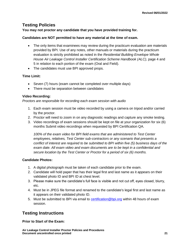# **Testing Policies**

**You may not proctor any candidate that you have provided training for.** 

### **Candidates are NOT permitted to have any material at the time of exam.**

- The only items that examinees may review during the practicum evaluation are materials provided by BPI. Use of any notes, other manuals or materials during the practicum evaluation is strictly prohibited as noted in the *Residential Building Envelope Whole House Air Leakage Control Installer Certification Scheme Handbook (ALC)*, page 4 and 5 in relation to each portion of the exam (Oral and Field).
- The candidates must use BPI approved props.

### **Time Limit:**

- Seven (7) hours (exam cannot be completed over multiple days)
- There must be separation between candidates

### **Video Recording:**

*Proctors are responsible for recording each exam session with audio* 

- 1. Each exam session must be video recorded by using a camera on tripod and/or carried by the proctor.
- 2. Proctor will need to zoom in on any diagnostic readings and capture any smoke testing.
- 3. Video recordings of exam sessions should be kept on file at your organization for six (6) months Submit video recordings when requested by BPI Certification QA.

*100% of the exam video for BPI field exams that are administered to Test Center employees, relatives, Test Center sub-contractors or any scenario that presents a conflict of interest are required to be submitted to BPI within five (5) business days of the exam date. All exam video and exam documents are to be kept in a confidential and secure location by the Test Center or Proctor for a period of six (6) months.* 

### **Candidate Photos:**

- 1. A digital photograph must be taken of each candidate prior to the exam.
- 2. Candidate will hold paper that has their legal first and last name as it appears on their validated photo ID and BPI ID at chest level.
- 3. Please make sure the candidate's full face is visible and not cut off, eyes closed, blurry, etc.
- 4. Must be in JPEG file format and renamed to the candidate's legal first and last name as it appears on their validated photo ID.
- 5. Must be submitted to BPI via email to [certification@bpi.org](mailto:certification@bpi.org) within 48 hours of exam session.

# **Testing Instructions**

**Prior to Start of the Exam:**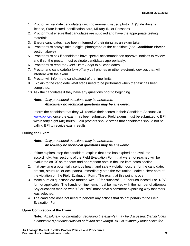- 1. Proctor will validate candidate(s) with government issued photo ID. (State driver's license, State issued identification card, Military ID, or Passport)
- 2. Proctor must ensure that candidates are supplied and have the appropriate testing materials.
- 3. Ensure candidates have been informed of their rights as an exam taker.
- 4. Proctor must always take a digital photograph of the candidate (see **Candidate Photos:** section above)
- 5. Proctor must ask if candidates have special accommodation approval notices to review and if so, the proctor must evaluate candidates appropriately.
- 6. Proctor must read the *Field Exam Script* to all candidates.
- 7. Proctor and candidate(s) *turn off* any cell phones or other electronic devices that will interfere with the exam.
- 8. Proctor will inform the candidate(s) of the time limits.
- 9. Explain to the candidate what steps need to be performed when the task has been completed.
- 10. Ask the candidates if they have any questions prior to beginning.

### **Note**: *Only procedural questions may be answered. Absolutely no technical questions may be answered.*

11. Inform the candidate that they will receive their scores in their Candidate Account via [www.bpi.org](http://www.bpi.org/pros) once the exam has been submitted. Field exams must be submitted to BPI within forty eight (48) hours. Field proctors should stress that candidates should not be calling BPI to receive exam results.

### **During the Exam:**

### **Note**: *Only procedural questions may be answered. Absolutely no technical questions may be answered.*

- 1. If time expires, stop the candidate, explain that time has expired and evaluate accordingly. Any sections of the Field Evaluation Form that were not reached will be evaluated as "0" on the form and appropriate note in the line item notes section.
- 2. If at any time a potentially serious health and safety violation occurs (for the candidate, proctor, structure, or occupants), immediately stop the evaluation. Make a clear note of the violation on the Field Evaluation Form. The exam, at this point, is over.
- 3. Make sure all questions are marked with "1" for successful, "0" for unsuccessful or "N/A" for not applicable. The hands-on line items must be marked with the number of attempts. Any questions marked with "0" or "N/A" must have a comment explaining why that mark was selected.
- 4. The candidate does not need to perform any actions that do not pertain to the Field Evaluation Form.

### **Upon Completion of the Exam:**

**Note:** *Absolutely no information regarding the exam(s) may be discussed; that includes a candidate's potential success or failure on exam(s). BPI is ultimately responsible for*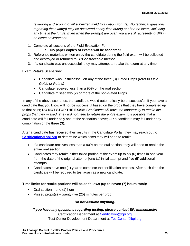*reviewing and scoring of all submitted Field Evaluation Form(s). No technical questions regarding the exam(s) may be answered at any time during or after the exam, including any time in the future. Even when the exam(s) are over, you are still representing BPI in an exam environment.*

1. Complete all sections of the Field Evaluation Form

### **a. No paper copies of exams will be accepted!**

- 2. Reference materials written on by the candidate during the field exam will be collected and destroyed or returned to BPI via traceable method.
- 3. If a candidate was unsuccessful, they may attempt to retake the exam at any time.

### **Exam Retake Scenarios:**

- Candidate was unsuccessful on any of the three (3) Gated Props *(refer to Field Guide or Rubric)*
- Candidate received less than a 90% on the oral section
- Candidate missed two (2) or more of the non-Gated Props

In any of the above scenarios, the candidate would automatically be unsuccessful. If you have a candidate that you know will not be successful based on the props that they have completed up to that point; **DO NOT STOP THE EXAM!** *Candidates will have the opportunity to retake the props that they missed. They will not need to retake the entire exam.* It is possible that a candidate will fall under only one of the scenarios above; OR a candidate may fall under any combination of the three (3).

After a candidate has received their results in the Candidate Portal, they may reach out to **[Certification@bpi.org](mailto:Certification@bpi.org)** to determine which items they will need to retake.

- If a candidate receives less than a 90% on the oral section, they will need to retake the entire oral section.
- Candidates may retake either failed portion of the exam up to six (6) times in one year from the date of the original attempt [one (1) initial attempt and five (5) additional attempts].
- Candidates have one (1) year to complete the certification process. After such time the candidate will be required to test again as a new candidate.

### **Time limits for retake portions will be as follows (up to seven (7) hours total):**

- Oral section one (1) hour
- Missed props $(s)$  twenty-five (25) minutes per prop

### *Do not assume anything.*

### *If you have any questions regarding testing, please contact BPI immediately:* Certification Department at [Certification@bpi.org](mailto:Certification@bpi.org)

Test Center Development Department at [TestCenter@bpi.org](mailto:TestCenter@bpi.org)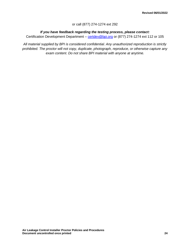### or call (877) 274-1274 ext 292

### *If you have feedback regarding the testing process, please contact:*

Certification Development Department – [certdev@bpi.org](mailto:certdev@bpi.org) or (877) 274-1274 ext 112 or 105

*All material supplied by BPI is considered confidential. Any unauthorized reproduction is strictly prohibited. The proctor will not copy, duplicate, photograph, reproduce, or otherwise capture any exam content. Do not share BPI material with anyone at anytime.*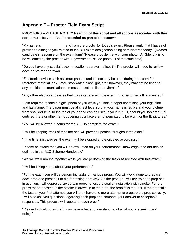# <span id="page-27-0"></span>**Appendix F – Proctor Field Exam Script**

### **PROCTORS – PLEASE NOTE \*\* Reading of this script and all actions associated with this script must be video/audio recorded as part of the exam\*\***

"My name is exame is and I am the proctor for today's exam. Please verify that I have not provided training to you related to the BPI exam designation being administered today." (Record candidate's response on the exam form) "Please provide me with your photo ID." (Identity is to be validated by the proctor with a government issued photo ID of the candidate)

"Do you have any special accommodation approval notices?" (The proctor will need to review each notice for approval)

"Electronic devices such as smart phones and tablets may be used during the exam for reference material, calculator, stop watch, flashlight, etc.; however, they may not be used for any outside communication and must be set to silent or vibrate."

"Any other electronic devices that may interfere with the exam must be turned off or silenced."

"I am required to take a digital photo of you while you hold a paper containing your legal first and last name. The paper must be at chest level so that your name is legible and your picture from shoulder level to the top of your head can be used in your BPI ID, should you become BPI certified. Hats or other items covering your face are not permitted to be worn for the ID pictures."

"You will be allowed 7 hours for the ALC to complete the exam."

"I will be keeping track of the time and will provide updates throughout the exam"

"If the time limit expires, the exam will be stopped and evaluated accordingly."

"Please be aware that you will be evaluated on your performance, knowledge, and abilities as outlined in the ALC Scheme Handbook."

"We will walk around together while you are performing the tasks associated with this exam."

"I will be taking notes about your performance."

"For the exam you will be performing tasks on various props. You will work alone to prepare each prop and present it to me for testing or review. As the proctor, I will review each prop and in addition, I will depressurize certain props to test the seal or installation with smoke. For the props that are tested, if the smoke is drawn in to the prop, the prop fails the test. If the prop fails the test on your first attempt, you will then have one more attempt to prepare the prop correctly. I will also ask you questions regarding each prop and compare your answer to acceptable responses. This process will repeat for each prop."

"Please think aloud so that I may have a better understanding of what you are seeing and doing."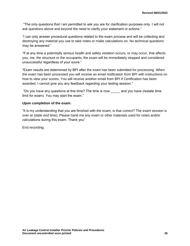"The only questions that I am permitted to ask you are for clarification purposes only. I will not ask questions above and beyond the need to clarify your statement or actions."

"I can only answer procedural questions related to the exam process and will be collecting and destroying any material you use to take notes or make calculations on. No technical questions may be answered."

"If at any time a potentially serious health and safety violation occurs, or may occur, that affects you, me, the structure or the occupants, the exam will be immediately stopped and considered unsuccessful regardless of your score."

"Exam results are determined by BPI after the exam has been submitted for processing. When the exam has been processed you will receive an email notification from BPI with instructions on how to view your scores. You will receive another email from BPI if Certification has been awarded. I cannot give you any feedback regarding your testing session."

"Do you have any questions at this time? The time is now \_\_\_\_\_ and you have (restate time limit for exam). You may start the exam."

#### **Upon completion of the exam:**

"It is my understanding that you are finished with the exam; is that correct? The exam session is over at (state end time). Please hand me any exam or other materials used for notes and/or calculations during this exam. Thank you"

End recording.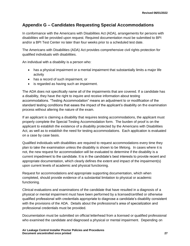# <span id="page-29-0"></span>**Appendix G – Candidates Requesting Special Accommodations**

In conformance with the Americans with Disabilities Act (ADA), arrangements for persons with disabilities will be provided upon request. Required documentation must be submitted to BPI and/or a BPI Test Center no later than four weeks prior to a scheduled test date.

The Americans with Disabilities (ADA) Act provides comprehensive civil rights protection for qualified individuals with disabilities.

An individual with a disability is a person who:

- has a physical impairment or a mental impairment that substantially limits a major life activity
- has a record of such impairment, or
- is regarded as having such an impairment.

The ADA does not specifically name all of the impairments that are covered. If a candidate has a disability, they have the right to inquire and receive information about testing accommodations. "Testing Accommodation" means an adjustment to or modification of the standard testing conditions that eases the impact of the applicant's disability on the examination process without altering the nature of the exam.

If an applicant is claiming a disability that requires testing accommodations, the applicant must properly complete the Special Testing Accommodation form. The burden of proof is on the applicant to establish the existence of a disability protected by the Americans with Disabilities Act, as well as to establish the need for testing accommodations. Each application is evaluated on a case by case basis.

Qualified individuals with disabilities are required to request accommodations every time they plan to take the examination unless the disability is shown to be lifelong. In cases where it is not, the new request for accommodation will be evaluated to determine if the disability is a current impediment to the candidate. It is in the candidate's best interests to provide recent and appropriate documentation, which clearly defines the extent and impact of the impairment(s) upon current levels of academic and physical functioning.

Request for accommodations and appropriate supporting documentation, which when completed, should provide evidence of a substantial limitation to physical or academic functioning.

Clinical evaluations and examinations of the candidate that have resulted in a diagnosis of a physical or mental impairment must have been performed by a licensed/certified or otherwise qualified professional with credentials appropriate to diagnose a candidate's disability consistent with the provisions of the ADA. Details about the professional's area of specialization and professional credentials must be provided.

Documentation must be submitted on official letterhead from a licensed or qualified professional who examined the candidate and diagnosed a physical or mental impairment. Depending on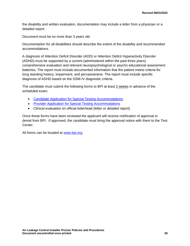the disability and written evaluation, documentation may include a letter from a physician or a detailed report.

Document must be no more than 3 years old.

Documentation for all disabilities should describe the extent of the disability and recommended accommodations.

A diagnosis of Attention Deficit Disorder (ADD) or Attention Deficit Hyperactivity Disorder (ADHD) must be supported by a current (administered within the past three years) comprehensive evaluation and relevant neuropsychological or psycho educational assessment batteries. The report must include documented information that the patient meets criteria for long standing history, impairment, and pervasiveness. The report must include specific diagnosis of ADHD based on the DSM-IV diagnostic criteria.

The candidate must submit the following forms to BPI at least 2 weeks in advance of the scheduled exam.

- [Candidate Application for Special Testing Accommodations](http://www.bpi.org/standards_applications.aspx)
- [Provider Application for Special Testing Accommodations](http://www.bpi.org/standards_applications.aspx)
- Clinical evaluation on official letterhead (letter or detailed report)

Once these forms have been reviewed the applicant will receive notification of approval or denial from BPI. If approved, the candidate must bring the approval notice with them to the Test Center.

All forms can be located at [www.bpi.org.](http://www.bpi.org/pros)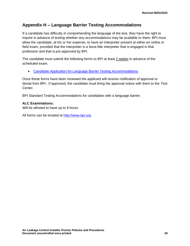# <span id="page-31-0"></span>**Appendix H – Language Barrier Testing Accommodations**

If a candidate has difficulty in comprehending the language of the test, they have the right to inquire in advance of testing whether any accommodations may be available to them. BPI must allow the candidate, at his or her expense, to have an interpreter present at either an online or field exam, provided that the interpreter is a bona fide interpreter that is engaged in that profession and that is pre-approved by BPI.

The candidate must submit the following forms to BPI at least 2 weeks in advance of the scheduled exam.

• [Candidate Application for Language Barrier Testing Accommodations](http://www.bpi.org/standards_applications.aspx)

Once these forms have been reviewed the applicant will receive notification of approval or denial from BPI. If approved, the candidate must bring the approval notice with them to the Test Center.

BPI Standard Testing Accommodations for candidates with a language barrier.

### **ALC Examinations:**

Will be allowed to have up to 9 hours

All forms can be located at [http://www.bpi.org.](http://www.bpi.org/pros)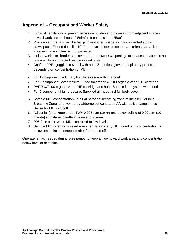# <span id="page-32-0"></span>**Appendix I – Occupant and Worker Safety**

- 1. Exhaust ventilation- to prevent emission buildup and move air from adjacent spaces toward work area exhaust, 0.5cfm/sq ft not less than 250cfm.
- 2. Provide capture- at user discharge in restricted space such as unvented attic or crawlspace. Extend duct like 10" From duct blaster close to foam release area, keep installer's face in clear air but protected.
- 3. Isolate work site- barrier seal over return ductwork & openings to adjacent spaces so no release. No unprotected people in work area,
- 4. Confirm PPE- goggles, coverall with hood & booties, gloves; respiratory protection depending on concentration of MDI:
- For 1-component: voluntary P95 face-piece with charcoal
- For 2-component low pressure: Fitted facemask wT100 organic vapor/HE cartridge
- PAPR w/T100 organic vapor/HE cartridge and hood Supplied air system with hood
- For 2 component high pressure: Supplied air hood and full body cover
- 5. Sample MDI concentration- in air at personal breathing zone of installer Personal Breathing Zone, and work area airborne concentration AA with active sampler, Iso Sense for MDI or Scott.
- 6. Adjust fan(s) to keep under TWA 0.005ppm (10 hr) and below ceiling of 0.02ppm (10 minute) at installer breathing zone and in area.
- 7. P95 face piece when MDI controlled to low levels.
- 8. Sample MDI when completed run ventilation if any MDI found until concentration is below lower limit of detection after fan turned off.

Operate fan as needed during cure period to keep airflow toward work area and concentration below level of detection.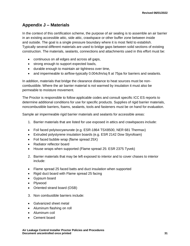# <span id="page-33-0"></span>**Appendix J – Materials**

In the context of this certification scheme, the purpose of air sealing is to assemble an air barrier in an existing accessible attic, side attic, crawlspace or other buffer zone between inside and outside. The goal is a single pressure boundary where it is most field to establish. Typically several different materials are used to bridge gaps between solid sections of existing construction. The materials, sealants, connections and attachments used in this effort must be:

- continuous on all edges and across all gaps,
- strong enough to support expected loads,
- durable enough to maintain air tightness over time,
- and impermeable to airflow-typically 0.004cfm/sq ft at 75pa for barriers and sealants.

In addition, materials that bridge the clearance distance to heat sources must be noncombustible. Where the air barrier material is not warmed by insulation it must also be permeable to moisture movement.

The Proctor is responsible to follow applicable codes and consult specific ICC ES reports to determine additional conditions for use for specific products. Supplies of rigid barrier materials, noncombustible barriers, foams, sealants, tools and fasteners must be on hand for evaluation.

Sample air impermeable rigid barrier materials and sealants for accessible areas:

- 1. Barrier materials that are listed for use exposed in attics and crawlspaces include:
- Foil faced polyisocyanurate (e.g. ESR-1864 TSX8500, NER 681 Thermax)
- Extruded polystyrene insulation boards (e.g. ESR 2142 Dow Styrofoam)
- Foil faced bubble wrap (flame spread 25X)
- Radiator reflector board
- House wraps when supported (Flame spread 25: ESR 2375 Tyvek)
- 2. Barrier materials that may be left exposed to interior and to cover chases to interior include:
- Flame spread 25 faced batts and duct insulation when supported
- Rigid duct board with Flame spread 25 facing
- Gypsum board
- Plywood
- Oriented strand board (OSB)
- 3. Non combustible barriers include:
- Galvanized sheet metal
- Aluminum flashing on roll
- Aluminum coil
- Cement board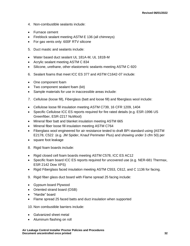- 4. Non-combustible sealants include:
- Furnace cement
- Fireblock sealant meeting ASTM E 136 (all chimneys)
- For gas vents only: 600F RTV silicone
- 5. Duct mastic and sealants include:
- Water based duct sealant UL 181A-M, UL 181B-M
- Acrylic sealant meeting ASTM C 834
- Silicone, urethane, other elastomeric sealants meeting ASTM C-920
- 6. Sealant foams that meet ICC ES 377 and ASTM C1642-07 include:
- One component foam
- Two component sealant foam (kit)
- Sample materials for use in inaccessible areas include:
- 7. Cellulose (loose fill), Fiberglass (batt and loose fill) and fiberglass wool include:
- Cellulose loose fill insulation meeting ASTM C739, 16 CFR 1209, 1404
- Specific Cellulose ICC ES reports required for fire rated details (e.g. ESR-1996 US Greenfiber, ESR-2217 NuWool)
- Mineral fiber batt and blanket insulation meeting ASTM 665
- Mineral fiber loose fill insulation meeting ASTM C764
- Fiberglass wool engineered for air resistance tested to draft BPI standard using {ASTM E2178, C522 (e.g. JM Spider, Knauf Perimeter Plus) and showing under 3 cfm 50} per
- square foot leakage
- 8. Rigid foam boards include:
- Rigid closed cell foam boards meeting ASTM C578, ICC ES AC12
- Specific foam board ICC ES reports required for uncovered use (e.g. NER-681 Thermax, ESR 2142 Dow XPS)
- Rigid Fiberglass faced insulation meeting ASTM C553, C612, and C 1136 for facing.
- 9. Rigid fiber glass duct board with Flame spread 25 facing include:
- Gypsum board Plywood
- Oriented strand board (OSB)
- "Hardie" board
- Flame spread 25 faced batts and duct insulation when supported

10. Non combustible barriers include:

- Galvanized sheet metal
- Aluminum flashing on roll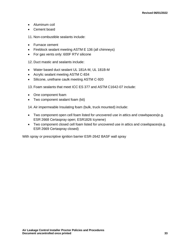- Aluminum coil
- Cement board

11. Non-combustible sealants include:

- Furnace cement
- Fireblock sealant meeting ASTM E 136 (all chimneys)
- For gas vents only: 600F RTV silicone

12. Duct mastic and sealants include:

- Water based duct sealant UL 181A-M, UL 181B-M
- Acrylic sealant meeting ASTM C-834
- Silicone, urethane caulk meeting ASTM C-920

13. Foam sealants that meet ICC ES 377 and ASTM C1642-07 include:

- One component foam
- Two component sealant foam (kit)

14. Air impermeable Insulating foam (bulk, truck mounted) include:

- Two component open cell foam listed for uncovered use in attics and crawlspaces(e.g. ESR 2668 Certaspray open; ESR1826 Icynene)
- Two component closed cell foam listed for uncovered use in attics and crawlspaces(e.g. ESR 2669 Certaspray closed)

With spray or prescriptive ignition barrier ESR-2642 BASF wall spray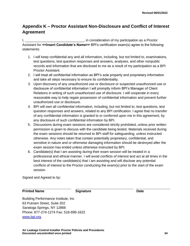# <span id="page-36-0"></span>**Appendix K – Proctor Assistant Non-Disclosure and Conflict of Interest Agreement**

I, the consideration of my participation as a Proctor Assistant for **<<Insert Candidate's Name>>** BPI's certification exam(s) agree to the following statements:

- 1. I will keep confidential any and all information, including, but not limited to, examinations, test questions, test question responses and answers, analyses, and other nonpublic records and information that are disclosed to me as a result of my participation as a BPI Proctor Assistant.
- 2. I will treat all confidential information as BPI's sole property and proprietary information and take all steps necessary to ensure its confidentiality.
- 3. Upon discovery of any unauthorized use or disclosure or suspected unauthorized use or disclosure of confidential information I will promptly inform BPI's Manager of Client Relations in writing of such unauthorized use of disclosure. I will cooperate in every reasonable way to help regain possession of confidential information and prevent further unauthorized use or disclosure.
- 4. BPI will own all confidential information, including, but not limited to, test questions, test question responses and answers, related to any BPI certification. I agree that no transfer of any confidential information is granted to or conferred upon me in this agreement, by any disclosure of such confidential information by BPI.
- 5. Discussions during exam sessions are considered strictly prohibited, unless prior written permission is given to discuss with the candidate being tested. Materials received during the exam sessions should be returned to BPI staff for safeguarding, unless instructed otherwise. Any notes taken that contain potentially proprietary, confidential, and sensitive in nature and or otherwise damaging information should be destroyed after the exam session has ended unless otherwise instructed by BPI.
- 6. Candidate(s) that I am assisting during their exam session will be treated in a professional and ethical manner. I will avoid conflicts of interest and act at all times in the best interest of the candidate(s) that I am assisting and will disclose any potential conflicts of interest to the Proctor conducting the exam(s) prior to the start of the exam session.

Signed and Agreed to by:

#### **Printed Name Signature Date Date**

Building Performance Institute, Inc 63 Putnam Street, Suite 202 Saratoga Springs, NY 12866 Phone: 877-274-1274 Fax: 518-899-1622 [www.bpi.org](http://www.bpi.org/)

**Air Leakage Control Installer Proctor Policies and Procedures Document uncontrolled once printed 34**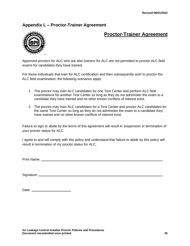# <span id="page-37-0"></span>**Appendix L – Proctor-Trainer Agreement**



# **Proctor-Trainer Agreement**

Approved proctors for ALC who are also trainers for ALC are not permitted to proctor ALC field exams for candidates they have trained.

For those individuals that train for ALC certification and then subsequently wish to proctor the ALC field examination, the following scenarios apply:

- 1. The proctor may train ALC candidates for one Test Center and perform ALC field examinations for another Test Center so long as they do not administer the exam to a candidate they have trained and no other known conflicts of interest exist.
- 2. The proctor may train ALC candidates for a Test Center and proctor ALC candidates for the same Test Center so long as they do not administer the exam to a candidate they have trained and no other known conflicts of interest exist.

Failure to sign or abide by the terms of this agreement will result in suspension or termination of your proctor status for ALC.

I agree to and will comply with this policy and understand that failure to abide by this policy will result in termination of my proctor status for ALC.

Print Name:

Signature: <u>Communications</u>

| Date: |  |
|-------|--|
|       |  |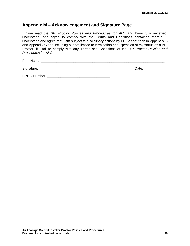# <span id="page-38-0"></span>**Appendix M – Acknowledgement and Signature Page**

I have read the *BPI Proctor Policies and Procedures for ALC* and have fully reviewed, understand, and agree to comply with the Terms and Conditions contained therein. I understand and agree that I am subject to disciplinary actions by BPI, as set forth in Appendix B and Appendix C and including but not limited to termination or suspension of my status as a BPI Proctor, if I fail to comply with any Terms and Conditions of the *BPI Proctor Policies and Procedures for ALC*.

Print Name: \_\_\_\_\_\_\_\_\_\_\_\_\_\_\_\_\_\_\_\_\_\_\_\_\_\_\_\_\_\_\_\_\_\_\_\_\_\_\_\_\_\_\_\_\_\_\_\_\_\_\_\_\_\_\_\_\_\_\_\_\_\_\_\_\_

Signature: \_\_\_\_\_\_\_\_\_\_\_\_\_\_\_\_\_\_\_\_\_\_\_\_\_\_\_\_\_\_\_\_\_\_\_\_\_\_\_\_\_\_\_\_\_\_\_\_\_\_ Date: \_\_\_\_\_\_\_\_\_\_\_

BPI ID Number:  $\blacksquare$